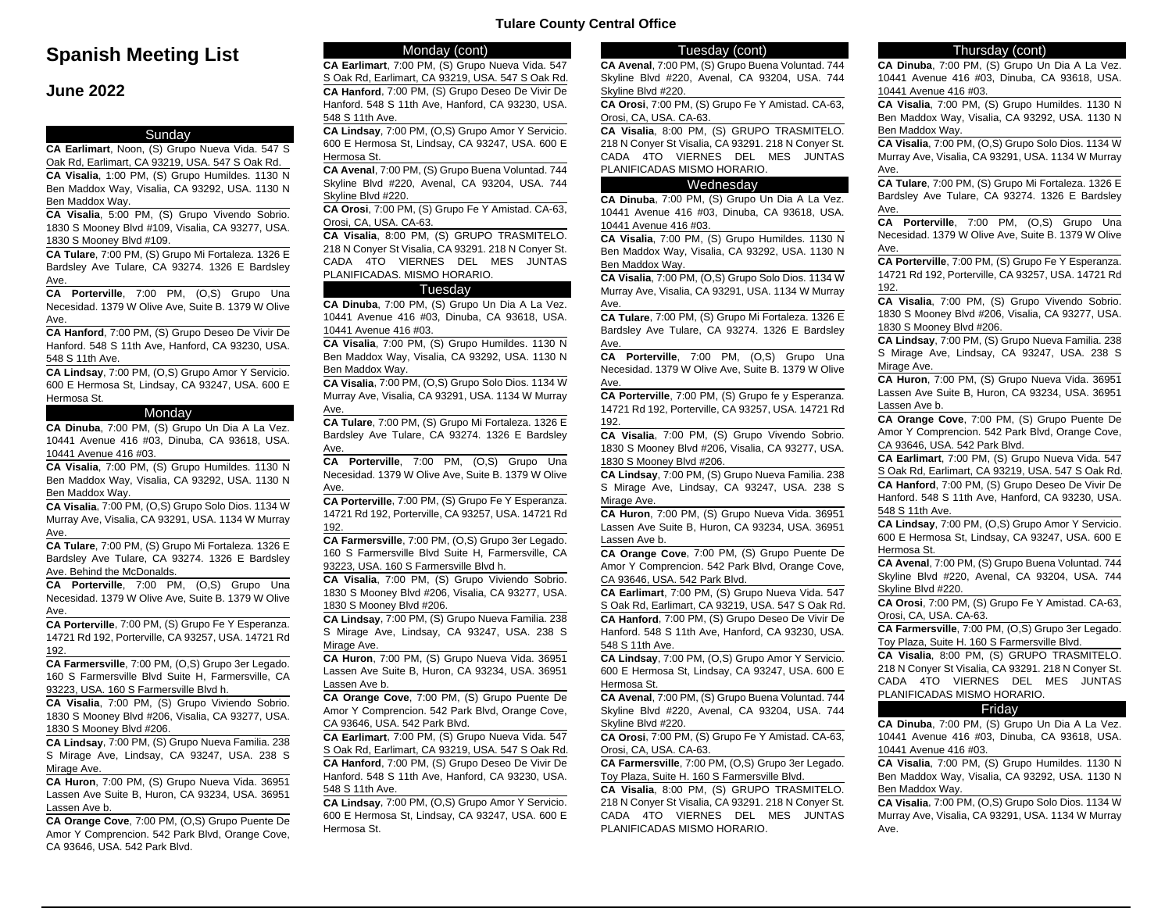# **Spanish Meeting List**

# **June 2022**

### Sunday

**CA Earlimart**, Noon, (S) Grupo Nueva Vida. 547 S Oak Rd, Earlimart, CA 93219, USA. 547 S Oak Rd. **CA Visalia**, 1:00 PM, (S) Grupo Humildes. 1130 N Ben Maddox Way, Visalia, CA 93292, USA. 1130 N Ben Maddox Way.

**CA Visalia**, 5:00 PM, (S) Grupo Vivendo Sobrio. 1830 S Mooney Blvd #109, Visalia, CA 93277, USA. 1830 S Mooney Blvd #109.

**CA Tulare**, 7:00 PM, (S) Grupo Mi Fortaleza. 1326 E Bardsley Ave Tulare, CA 93274. 1326 E Bardsley Ave.

**CA Porterville**, 7:00 PM, (O,S) Grupo Una Necesidad. 1379 W Olive Ave, Suite B. 1379 W Olive Ave.

**CA Hanford**, 7:00 PM, (S) Grupo Deseo De Vivir De Hanford. 548 S 11th Ave, Hanford, CA 93230, USA. 548 S 11th Ave.

**CA Lindsay**, 7:00 PM, (O,S) Grupo Amor Y Servicio. 600 E Hermosa St, Lindsay, CA 93247, USA. 600 E Hermosa St.

#### Monday

**CA Dinuba**, 7:00 PM, (S) Grupo Un Dia A La Vez. 10441 Avenue 416 #03, Dinuba, CA 93618, USA. 10441 Avenue 416 #03.

**CA Visalia**, 7:00 PM, (S) Grupo Humildes. 1130 N Ben Maddox Way, Visalia, CA 93292, USA. 1130 N Ben Maddox Way.

**CA Visalia**, 7:00 PM, (O,S) Grupo Solo Dios. 1134 W Murray Ave, Visalia, CA 93291, USA. 1134 W Murray Ave.

**CA Tulare**, 7:00 PM, (S) Grupo Mi Fortaleza. 1326 E Bardsley Ave Tulare, CA 93274. 1326 E Bardsley Ave. Behind the McDonalds.

**CA Porterville**, 7:00 PM, (O,S) Grupo Una Necesidad. 1379 W Olive Ave, Suite B. 1379 W Olive Ave.

**CA Porterville**, 7:00 PM, (S) Grupo Fe Y Esperanza. 14721 Rd 192, Porterville, CA 93257, USA. 14721 Rd 192.

**CA Farmersville**, 7:00 PM, (O,S) Grupo 3er Legado. 160 S Farmersville Blvd Suite H, Farmersville, CA 93223, USA. 160 S Farmersville Blvd h.

**CA Visalia**, 7:00 PM, (S) Grupo Viviendo Sobrio. 1830 S Mooney Blvd #206, Visalia, CA 93277, USA. 1830 S Mooney Blvd #206.

**CA Lindsay**, 7:00 PM, (S) Grupo Nueva Familia. 238 S Mirage Ave, Lindsay, CA 93247, USA. 238 S Mirage Ave.

**CA Huron**, 7:00 PM, (S) Grupo Nueva Vida. 36951 Lassen Ave Suite B, Huron, CA 93234, USA. 36951 Lassen Ave b.

**CA Orange Cove**, 7:00 PM, (O,S) Grupo Puente De Amor Y Comprencion. 542 Park Blvd, Orange Cove, CA 93646, USA. 542 Park Blvd.

# Monday (cont)

**CA Earlimart**, 7:00 PM, (S) Grupo Nueva Vida. 547 S Oak Rd, Earlimart, CA 93219, USA. 547 S Oak Rd. **CA Hanford**, 7:00 PM, (S) Grupo Deseo De Vivir De Hanford. 548 S 11th Ave, Hanford, CA 93230, USA. 548 S 11th Ave.

**CA Lindsay**, 7:00 PM, (O,S) Grupo Amor Y Servicio. 600 E Hermosa St, Lindsay, CA 93247, USA. 600 E Hermosa St.

**CA Avenal**, 7:00 PM, (S) Grupo Buena Voluntad. 744 Skyline Blvd #220, Avenal, CA 93204, USA. 744 Skyline Blvd #220.

**CA Orosi**, 7:00 PM, (S) Grupo Fe Y Amistad. CA-63, Orosi, CA, USA. CA-63.

**CA Visalia**, 8:00 PM, (S) GRUPO TRASMITELO. 218 N Conyer St Visalia, CA 93291. 218 N Conyer St. CADA 4TO VIERNES DEL MES JUNTAS PLANIFICADAS. MISMO HORARIO.

#### **Tuesday**

**CA Dinuba**, 7:00 PM, (S) Grupo Un Dia A La Vez. 10441 Avenue 416 #03, Dinuba, CA 93618, USA. 10441 Avenue 416 #03.

**CA Visalia**, 7:00 PM, (S) Grupo Humildes. 1130 N Ben Maddox Way, Visalia, CA 93292, USA. 1130 N Ben Maddox Way.

**CA Visalia**, 7:00 PM, (O,S) Grupo Solo Dios. 1134 W Murray Ave, Visalia, CA 93291, USA. 1134 W Murray Ave.

**CA Tulare**, 7:00 PM, (S) Grupo Mi Fortaleza. 1326 E Bardsley Ave Tulare, CA 93274. 1326 E Bardsley Ave.

**CA Porterville**, 7:00 PM, (O,S) Grupo Una Necesidad. 1379 W Olive Ave, Suite B. 1379 W Olive Ave.

**CA Porterville**, 7:00 PM, (S) Grupo Fe Y Esperanza. 14721 Rd 192, Porterville, CA 93257, USA. 14721 Rd 192.

**CA Farmersville**, 7:00 PM, (O,S) Grupo 3er Legado. 160 S Farmersville Blvd Suite H, Farmersville, CA 93223, USA. 160 S Farmersville Blvd h.

**CA Visalia**, 7:00 PM, (S) Grupo Viviendo Sobrio. 1830 S Mooney Blvd #206, Visalia, CA 93277, USA. 1830 S Mooney Blvd #206.

**CA Lindsay**, 7:00 PM, (S) Grupo Nueva Familia. 238 S Mirage Ave, Lindsay, CA 93247, USA. 238 S Mirage Ave.

**CA Huron**, 7:00 PM, (S) Grupo Nueva Vida. 36951 Lassen Ave Suite B, Huron, CA 93234, USA. 36951 Lassen Ave b.

**CA Orange Cove**, 7:00 PM, (S) Grupo Puente De Amor Y Comprencion. 542 Park Blvd, Orange Cove, CA 93646, USA. 542 Park Blvd.

**CA Earlimart**, 7:00 PM, (S) Grupo Nueva Vida. 547 S Oak Rd, Earlimart, CA 93219, USA. 547 S Oak Rd. **CA Hanford**, 7:00 PM, (S) Grupo Deseo De Vivir De Hanford. 548 S 11th Ave, Hanford, CA 93230, USA. 548 S 11th Ave.

**CA Lindsay**, 7:00 PM, (O,S) Grupo Amor Y Servicio. 600 E Hermosa St, Lindsay, CA 93247, USA. 600 E Hermosa St.

#### Tuesday (cont)

**Tulare County Central Office**

**CA Avenal**, 7:00 PM, (S) Grupo Buena Voluntad. 744 Skyline Blvd #220, Avenal, CA 93204, USA. 744 Skyline Blvd #220.

**CA Orosi**, 7:00 PM, (S) Grupo Fe Y Amistad. CA-63, Orosi, CA, USA. CA-63.

**CA Visalia**, 8:00 PM, (S) GRUPO TRASMITELO. 218 N Conyer St Visalia, CA 93291. 218 N Conyer St. CADA 4TO VIERNES DEL MES JUNTAS PLANIFICADAS MISMO HORARIO.

#### Wednesday

**CA Dinuba**, 7:00 PM, (S) Grupo Un Dia A La Vez. 10441 Avenue 416 #03, Dinuba, CA 93618, USA. 10441 Avenue 416 #03.

**CA Visalia**, 7:00 PM, (S) Grupo Humildes. 1130 N Ben Maddox Way, Visalia, CA 93292, USA. 1130 N Ben Maddox Way.

**CA Visalia**, 7:00 PM, (O,S) Grupo Solo Dios. 1134 W Murray Ave, Visalia, CA 93291, USA. 1134 W Murray Ave.

**CA Tulare**, 7:00 PM, (S) Grupo Mi Fortaleza. 1326 E Bardsley Ave Tulare, CA 93274. 1326 E Bardsley Ave.

**CA Porterville**, 7:00 PM, (O,S) Grupo Una Necesidad. 1379 W Olive Ave, Suite B. 1379 W Olive Ave.

**CA Porterville**, 7:00 PM, (S) Grupo fe y Esperanza. 14721 Rd 192, Porterville, CA 93257, USA. 14721 Rd 192.

**CA Visalia**, 7:00 PM, (S) Grupo Vivendo Sobrio. 1830 S Mooney Blvd #206, Visalia, CA 93277, USA. 1830 S Mooney Blvd #206.

**CA Lindsay**, 7:00 PM, (S) Grupo Nueva Familia. 238 S Mirage Ave, Lindsay, CA 93247, USA. 238 S Mirage Ave.

**CA Huron**, 7:00 PM, (S) Grupo Nueva Vida. 36951 Lassen Ave Suite B, Huron, CA 93234, USA. 36951 Lassen Ave b.

**CA Orange Cove**, 7:00 PM, (S) Grupo Puente De Amor Y Comprencion. 542 Park Blvd, Orange Cove, CA 93646, USA. 542 Park Blvd.

**CA Earlimart**, 7:00 PM, (S) Grupo Nueva Vida. 547 S Oak Rd, Earlimart, CA 93219, USA. 547 S Oak Rd. **CA Hanford**, 7:00 PM, (S) Grupo Deseo De Vivir De Hanford. 548 S 11th Ave, Hanford, CA 93230, USA. 548 S 11th Ave.

**CA Lindsay**, 7:00 PM, (O,S) Grupo Amor Y Servicio. 600 E Hermosa St, Lindsay, CA 93247, USA. 600 E Hermosa St.

**CA Avenal**, 7:00 PM, (S) Grupo Buena Voluntad. 744 Skyline Blvd #220, Avenal, CA 93204, USA. 744 Skyline Blvd #220.

**CA Orosi**, 7:00 PM, (S) Grupo Fe Y Amistad. CA-63, Orosi, CA, USA. CA-63.

**CA Farmersville**, 7:00 PM, (O,S) Grupo 3er Legado. Toy Plaza, Suite H. 160 S Farmersville Blvd.

**CA Visalia**, 8:00 PM, (S) GRUPO TRASMITELO. 218 N Conyer St Visalia, CA 93291. 218 N Conyer St. CADA 4TO VIERNES DEL MES JUNTAS PLANIFICADAS MISMO HORARIO.

# Thursday (cont)

**CA Dinuba**, 7:00 PM, (S) Grupo Un Dia A La Vez. 10441 Avenue 416 #03, Dinuba, CA 93618, USA. 10441 Avenue 416 #03.

**CA Visalia**, 7:00 PM, (S) Grupo Humildes. 1130 N Ben Maddox Way, Visalia, CA 93292, USA. 1130 N Ben Maddox Way.

**CA Visalia**, 7:00 PM, (O,S) Grupo Solo Dios. 1134 W Murray Ave, Visalia, CA 93291, USA. 1134 W Murray Ave.

**CA Tulare**, 7:00 PM, (S) Grupo Mi Fortaleza. 1326 E Bardsley Ave Tulare, CA 93274. 1326 E Bardsley Ave.

**CA Porterville**, 7:00 PM, (O,S) Grupo Una Necesidad. 1379 W Olive Ave, Suite B. 1379 W Olive Ave.

**CA Porterville**, 7:00 PM, (S) Grupo Fe Y Esperanza. 14721 Rd 192, Porterville, CA 93257, USA. 14721 Rd 192.

**CA Visalia**, 7:00 PM, (S) Grupo Vivendo Sobrio. 1830 S Mooney Blvd #206, Visalia, CA 93277, USA. 1830 S Mooney Blvd #206.

**CA Lindsay**, 7:00 PM, (S) Grupo Nueva Familia. 238 S Mirage Ave, Lindsay, CA 93247, USA. 238 S Mirage Ave.

**CA Huron**, 7:00 PM, (S) Grupo Nueva Vida. 36951 Lassen Ave Suite B, Huron, CA 93234, USA. 36951 Lassen Ave b.

**CA Orange Cove**, 7:00 PM, (S) Grupo Puente De Amor Y Comprencion. 542 Park Blvd, Orange Cove, CA 93646, USA. 542 Park Blvd.

**CA Earlimart**, 7:00 PM, (S) Grupo Nueva Vida. 547 S Oak Rd, Earlimart, CA 93219, USA. 547 S Oak Rd. **CA Hanford**, 7:00 PM, (S) Grupo Deseo De Vivir De Hanford. 548 S 11th Ave, Hanford, CA 93230, USA. 548 S 11th Ave.

**CA Lindsay**, 7:00 PM, (O,S) Grupo Amor Y Servicio. 600 E Hermosa St, Lindsay, CA 93247, USA. 600 E Hermosa St.

**CA Avenal**, 7:00 PM, (S) Grupo Buena Voluntad. 744 Skyline Blvd #220, Avenal, CA 93204, USA. 744 Skyline Blvd #220.

**CA Orosi**, 7:00 PM, (S) Grupo Fe Y Amistad. CA-63, Orosi, CA, USA. CA-63.

**CA Farmersville**, 7:00 PM, (O,S) Grupo 3er Legado. Toy Plaza, Suite H. 160 S Farmersville Blvd.

**CA Visalia**, 8:00 PM, (S) GRUPO TRASMITELO. 218 N Conyer St Visalia, CA 93291. 218 N Conyer St. CADA 4TO VIERNES DEL MES JUNTAS PLANIFICADAS MISMO HORARIO.

#### Friday

**CA Dinuba**, 7:00 PM, (S) Grupo Un Dia A La Vez. 10441 Avenue 416 #03, Dinuba, CA 93618, USA. 10441 Avenue 416 #03.

**CA Visalia**, 7:00 PM, (S) Grupo Humildes. 1130 N Ben Maddox Way, Visalia, CA 93292, USA. 1130 N Ben Maddox Way.

**CA Visalia**, 7:00 PM, (O,S) Grupo Solo Dios. 1134 W Murray Ave, Visalia, CA 93291, USA. 1134 W Murray Ave.